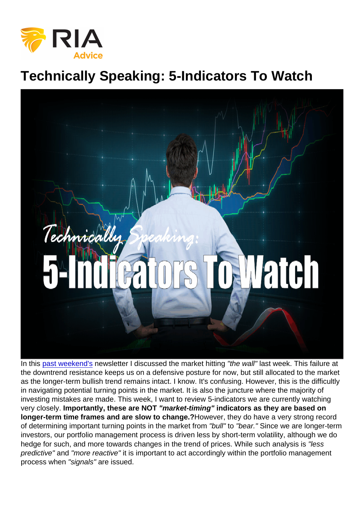# Technically Speaking: 5-Indicators To Watch

In this [past weekend's](https://realinvestmentadvice.com/rally-hits-the-wall-04-20-18/) newsletter I discussed the market hitting "the wall" last week. This failure at the downtrend resistance keeps us on a defensive posture for now, but still allocated to the market as the longer-term bullish trend remains intact. I know. It's confusing. However, this is the difficultly in navigating potential turning points in the market. It is also the juncture where the majority of investing mistakes are made. This week, I want to review 5-indicators we are currently watching very closely. Importantly, these are NOT "market-timing" indicators as they are based on longer-term time frames and are slow to change.? However, they do have a very strong record of determining important turning points in the market from "bull" to "bear." Since we are longer-term investors, our portfolio management process is driven less by short-term volatility, although we do hedge for such, and more towards changes in the trend of prices. While such analysis is "less predictive" and "more reactive" it is important to act accordingly within the portfolio management process when "signals" are issued.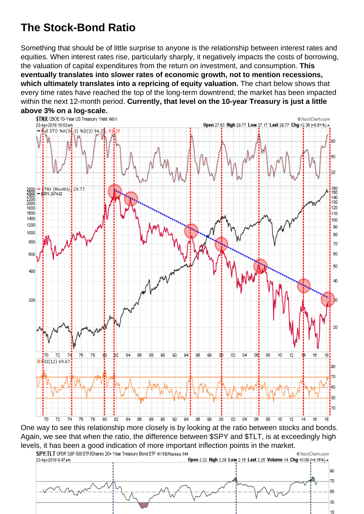## The Stock-Bond Ratio

Something that should be of little surprise to anyone is the relationship between interest rates and equities. When interest rates rise, particularly sharply, it negatively impacts the costs of borrowing, the valuation of capital expenditures from the return on investment, and consumption. This eventually translates into slower rates of economic growth, not to mention recessions, which ultimately translates into a repricing of equity valuation. The chart below shows that every time rates have reached the top of the long-term downtrend; the market has been impacted within the next 12-month period. Currently, that level on the 10-year Treasury is just a little above 3% on a log-scale.

One way to see this relationship more closely is by looking at the ratio between stocks and bonds. Again, we see that when the ratio, the difference between \$SPY and \$TLT, is at exceedingly high levels, it has been a good indication of more important inflection points in the market.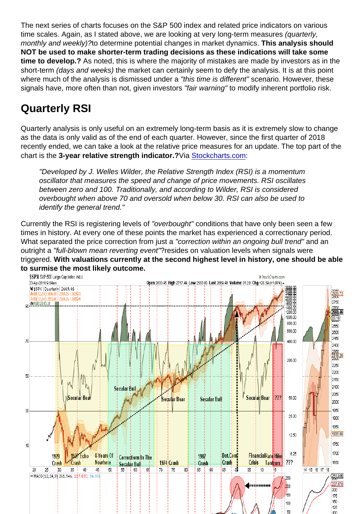The next series of charts focuses on the S&P 500 index and related price indicators on various time scales. Again, as I stated above, we are looking at very long-term measures (quarterly, monthly and weekly)?to determine potential changes in market dynamics. This analysis should NOT be used to make shorter-term trading decisions as these indications will take some time to develop.? As noted, this is where the majority of mistakes are made by investors as in the short-term (days and weeks) the market can certainly seem to defy the analysis. It is at this point where much of the analysis is dismissed under a "this time is different" scenario. However, these signals have, more often than not, given investors "fair warning" to modify inherent portfolio risk.

# Quarterly RSI

Quarterly analysis is only useful on an extremely long-term basis as it is extremely slow to change as the data is only valid as of the end of each quarter. However, since the first quarter of 2018 recently ended, we can take a look at the relative price measures for an update. The top part of the chart is the 3-year relative strength indicator.? Via [Stockcharts.com](http://stockcharts.com/school/doku.php?id=chart_school:technical_indicators:relative_strength_index_rsi):

"Developed by J. Welles Wilder, the Relative Strength Index (RSI) is a momentum oscillator that measures the speed and change of price movements. RSI oscillates between zero and 100. Traditionally, and according to Wilder, RSI is considered overbought when above 70 and oversold when below 30. RSI can also be used to identify the general trend."

Currently the RSI is registering levels of "overbought" conditions that have only been seen a few times in history. At every one of these points the market has experienced a correctionary period. What separated the price correction from just a "correction within an ongoing bull trend" and an outright a "full-blown mean reverting event"?resides on valuation levels when signals were triggered. With valuations currently at the second highest level in history, one should be able to surmise the most likely outcome.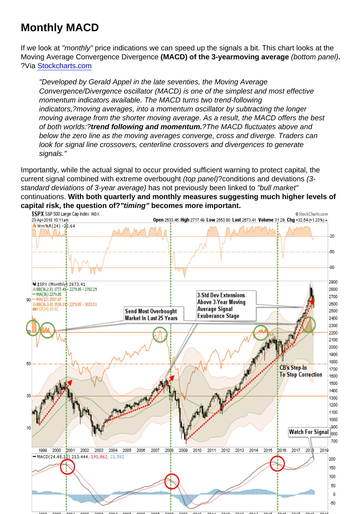## Monthly MACD

If we look at "monthly" price indications we can speed up the signals a bit. This chart looks at the Moving Average Convergence Divergence (MACD) of the 3-year moving average (bottom panel). ?Via [Stockcharts.com](http://stockcharts.com/school/doku.php?id=chart_school:technical_indicators:moving_average_convergence_divergence_macd)

"Developed by Gerald Appel in the late seventies, the Moving Average Convergence/Divergence oscillator (MACD) is one of the simplest and most effective momentum indicators available. The MACD turns two trend-following indicators,?moving averages, into a momentum oscillator by subtracting the longer moving average from the shorter moving average. As a result, the MACD offers the best of both worlds:?trend following and momentum. ?The MACD fluctuates above and below the zero line as the moving averages converge, cross and diverge. Traders can look for signal line crossovers, centerline crossovers and divergences to generate signals."

Importantly, while the actual signal to occur provided sufficient warning to protect capital, the current signal combined with extreme overbought (top panel)?conditions and deviations (3 standard deviations of 3-year average) has not previously been linked to "bull market" continuations. With both quarterly and monthly measures suggesting much higher levels of capital risk, the question of? "timing" becomes more important.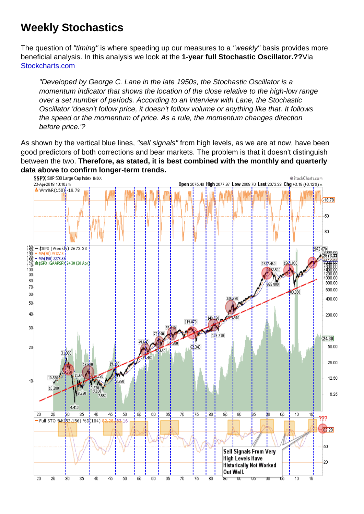#### Weekly Stochastics

The question of "timing" is where speeding up our measures to a "weekly" basis provides more beneficial analysis. In this analysis we look at the 1-year full Stochastic Oscillator.?? Via [Stockcharts.com](http://stockcharts.com/school/doku.php?id=chart_school:technical_indicators:stochastic_oscillator_fast_slow_and_full)

"Developed by George C. Lane in the late 1950s, the Stochastic Oscillator is a momentum indicator that shows the location of the close relative to the high-low range over a set number of periods. According to an interview with Lane, the Stochastic Oscillator 'doesn't follow price, it doesn't follow volume or anything like that. It follows the speed or the momentum of price. As a rule, the momentum changes direction before price.'?

As shown by the vertical blue lines, "sell signals" from high levels, as we are at now, have been good predictors of both corrections and bear markets. The problem is that it doesn't distinguish between the two. Therefore, as stated, it is best combined with the monthly and quarterly data above to confirm longer-term trends.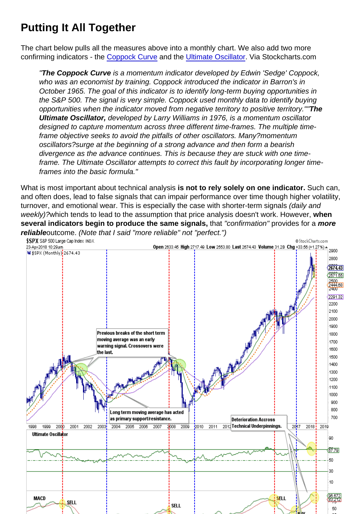# Putting It All Together

The chart below pulls all the measures above into a monthly chart. We also add two more confirming indicators - the [Coppock Curve](http://stockcharts.com/school/doku.php?id=chart_school:technical_indicators:coppock_curve) and the [Ultimate Oscillator](http://stockcharts.com/school/doku.php?id=chart_school:technical_indicators:ultimate_oscillator). Via Stockcharts.com

"The Coppock Curve is a momentum indicator developed by Edwin 'Sedge' Coppock, who was an economist by training. Coppock introduced the indicator in Barron's in October 1965. The goal of this indicator is to identify long-term buying opportunities in the S&P 500. The signal is very simple. Coppock used monthly data to identify buying opportunities when the indicator moved from negative territory to positive territory.""The Ultimate Oscillator, developed by Larry Williams in 1976, is a momentum oscillator designed to capture momentum across three different time-frames. The multiple timeframe objective seeks to avoid the pitfalls of other oscillators. Many?momentum oscillators?surge at the beginning of a strong advance and then form a bearish divergence as the advance continues. This is because they are stuck with one timeframe. The Ultimate Oscillator attempts to correct this fault by incorporating longer timeframes into the basic formula."

What is most important about technical analysis is not to rely solely on one indicator. Such can, and often does, lead to false signals that can impair performance over time though higher volatility, turnover, and emotional wear. This is especially the case with shorter-term signals (daily and weekly)?which tends to lead to the assumption that price analysis doesn't work. However, when several indicators begin to produce the same signals, that "confirmation" provides for a more reliable outcome. (Note that I said "more reliable" not "perfect.")